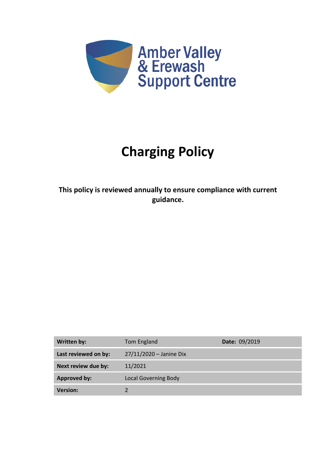

# **Charging Policy**

**This policy is reviewed annually to ensure compliance with current guidance.**

| Written by:          | Tom England                 | Date: 09/2019 |
|----------------------|-----------------------------|---------------|
| Last reviewed on by: | 27/11/2020 - Janine Dix     |               |
| Next review due by:  | 11/2021                     |               |
| <b>Approved by:</b>  | <b>Local Governing Body</b> |               |
| <b>Version:</b>      |                             |               |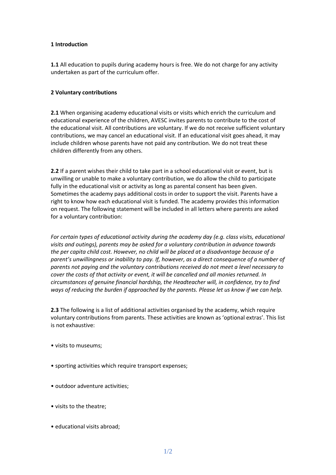#### **1 Introduction**

**1.1** All education to pupils during academy hours is free. We do not charge for any activity undertaken as part of the curriculum offer.

## **2 Voluntary contributions**

**2.1** When organising academy educational visits or visits which enrich the curriculum and educational experience of the children, AVESC invites parents to contribute to the cost of the educational visit. All contributions are voluntary. If we do not receive sufficient voluntary contributions, we may cancel an educational visit. If an educational visit goes ahead, it may include children whose parents have not paid any contribution. We do not treat these children differently from any others.

**2.2** If a parent wishes their child to take part in a school educational visit or event, but is unwilling or unable to make a voluntary contribution, we do allow the child to participate fully in the educational visit or activity as long as parental consent has been given. Sometimes the academy pays additional costs in order to support the visit. Parents have a right to know how each educational visit is funded. The academy provides this information on request. The following statement will be included in all letters where parents are asked for a voluntary contribution:

*For certain types of educational activity during the academy day (e.g. class visits, educational visits and outings), parents may be asked for a voluntary contribution in advance towards the per capita child cost. However, no child will be placed at a disadvantage because of a parent's unwillingness or inability to pay. If, however, as a direct consequence of a number of parents not paying and the voluntary contributions received do not meet a level necessary to cover the costs of that activity or event, it will be cancelled and all monies returned. In circumstances of genuine financial hardship, the Headteacher will, in confidence, try to find ways of reducing the burden if approached by the parents. Please let us know if we can help.*

**2.3** The following is a list of additional activities organised by the academy, which require voluntary contributions from parents. These activities are known as 'optional extras'. This list is not exhaustive:

- visits to museums;
- sporting activities which require transport expenses;
- outdoor adventure activities;
- visits to the theatre;
- educational visits abroad;